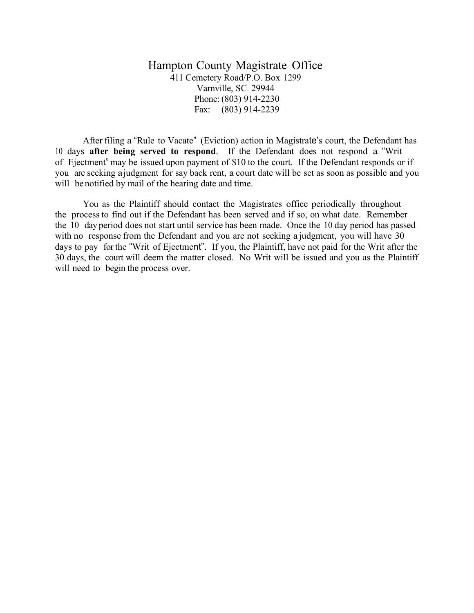Hampton County Magistrate Office 411 Cemetery Road/P.O. Box 1299 Varnville, SC 29944 Phone: (803) 914-2230 Fax: (803) 914-2239

After filing a "Rule to Vacate" (Eviction) action in Magistrate's court, the Defendant has 10 days **after being served to respond**. If the Defendant does not respond a "Writ of Ejectment" may be issued upon payment of \$10 to the court. If the Defendant responds or if you are seeking ajudgment for say back rent, a court date will be set as soon as possible and you will benotified by mail of the hearing date and time.

You as the Plaintiff should contact the Magistrates office periodically throughout the process to find out if the Defendant has been served and if so, on what date. Remember the 10 day period does not start until service has been made. Once the 10 day period has passed with no response from the Defendant and you are not seeking a judgment, you will have 30 days to pay forthe "Writ of Ejectment". If you, the Plaintiff, have not paid for the Writ after the 30 days, the court will deem the matter closed. No Writ will be issued and you as the Plaintiff will need to begin the process over.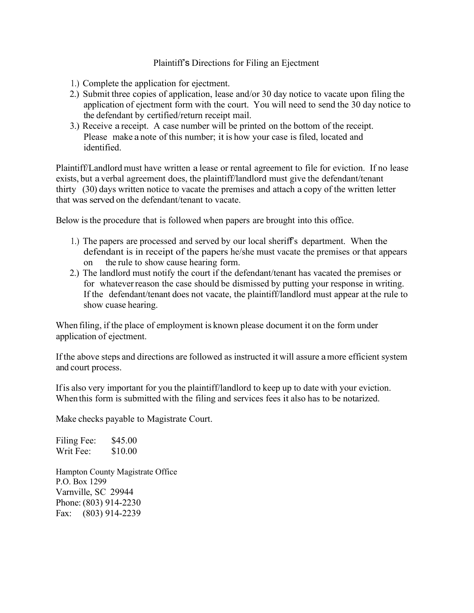## Plaintiff's Directions for Filing an Ejectment

- 1.) Complete the application for ejectment.
- 2.) Submit three copies of application, lease and/or 30 day notice to vacate upon filing the application of ejectment form with the court. You will need to send the 30 day notice to the defendant by certified/return receipt mail.
- 3.) Receive a receipt. A case number will be printed on the bottom of the receipt. Please make a note of this number; it is how your case is filed, located and identified.

Plaintiff/Landlord must have written a lease or rental agreement to file for eviction. If no lease exists, but a verbal agreement does, the plaintiff/landlord must give the defendant/tenant thirty (30) days written notice to vacate the premises and attach a copy of the written letter that was served on the defendant/tenant to vacate.

Below is the procedure that is followed when papers are brought into this office.

- 1.) The papers are processed and served by our local sheriff's department. When the defendant is in receipt of the papers he/she must vacate the premises or that appears on the rule to show cause hearing form.
- 2.) The landlord must notify the court if the defendant/tenant has vacated the premises or for whateverreason the case should be dismissed by putting your response in writing. If the defendant/tenant does not vacate, the plaintiff/landlord must appear at the rule to show cuase hearing.

When filing, if the place of employment is known please document it on the form under application of ejectment.

If the above steps and directions are followed as instructed itwill assure amore efficient system and court process.

Ifis also very important for you the plaintiff/landlord to keep up to date with your eviction. When this form is submitted with the filing and services fees it also has to be notarized.

Make checks payable to Magistrate Court.

Filing Fee: \$45.00 Writ Fee: \$10.00

Hampton County Magistrate Office P.O. Box 1299 Varnville, SC 29944 Phone: (803) 914-2230 Fax: (803) 914-2239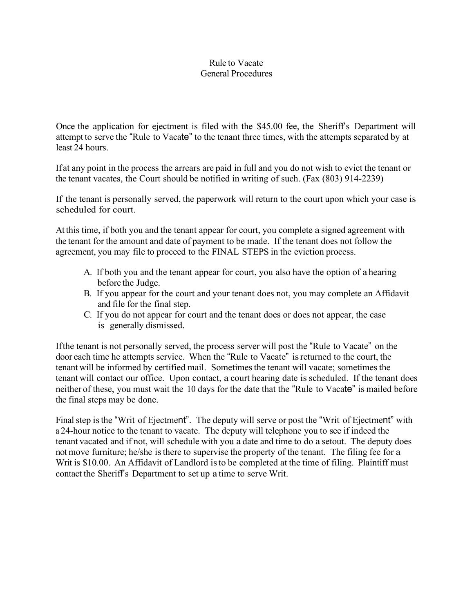## Rule to Vacate General Procedures

Once the application for ejectment is filed with the \$45.00 fee, the Sheriff's Department will attempt to serve the "Rule to Vacate" to the tenant three times, with the attempts separated by at least 24 hours.

Ifat any point in the process the arrears are paid in full and you do not wish to evict the tenant or the tenant vacates, the Court should be notified in writing of such. (Fax (803) 914-2239)

If the tenant is personally served, the paperwork will return to the court upon which your case is scheduled for court.

At this time, if both you and the tenant appear for court, you complete a signed agreement with the tenant for the amount and date of payment to be made. If the tenant does not follow the agreement, you may file to proceed to the FINAL STEPS in the eviction process.

- A. If both you and the tenant appear for court, you also have the option of a hearing before the Judge.
- B. If you appear for the court and your tenant does not, you may complete an Affidavit and file for the final step.
- C. If you do not appear for court and the tenant does or does not appear, the case is generally dismissed.

Ifthe tenant is not personally served, the process server will post the "Rule to Vacate" on the door each time he attempts service. When the "Rule to Vacate" isreturned to the court, the tenant will be informed by certified mail. Sometimesthe tenant will vacate; sometimes the tenant will contact our office. Upon contact, a court hearing date is scheduled. If the tenant does neither of these, you must wait the 10 days for the date that the "Rule to Vacate" is mailed before the final steps may be done.

Final step is the "Writ of Ejectment". The deputy will serve or post the "Writ of Ejectment" with a 24-hour notice to the tenant to vacate. The deputy will telephone you to see if indeed the tenant vacated and if not, will schedule with you a date and time to do a setout. The deputy does not move furniture; he/she is there to supervise the property of the tenant. The filing fee for a Writ is \$10.00. An Affidavit of Landlord is to be completed at the time of filing. Plaintiff must contact the Sheriff's Department to set up a time to serve Writ.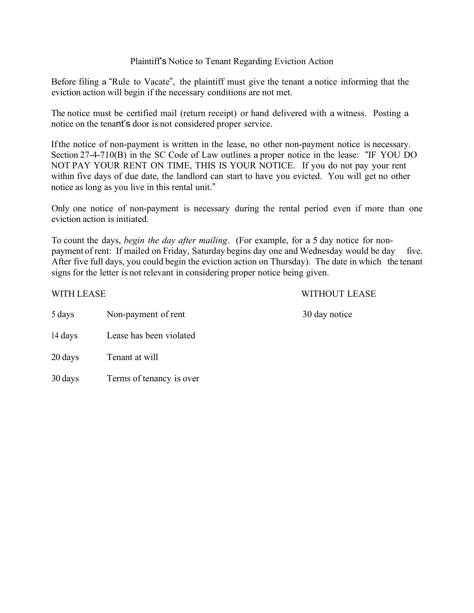## Plaintiff's Notice to Tenant Regarding Eviction Action

Before filing a "Rule to Vacate", the plaintiff must give the tenant a notice informing that the eviction action will begin if the necessary conditions are not met.

The notice must be certified mail (return receipt) or hand delivered with a witness. Posting a notice on the tenant's door is not considered proper service.

Ifthe notice of non-payment is written in the lease, no other non-payment notice is necessary. Section 27-4-710(B) in the SC Code of Law outlines a proper notice in the lease: "IF YOU DO NOT PAY YOUR RENT ON TIME, THIS IS YOUR NOTICE. If you do not pay your rent within five days of due date, the landlord can start to have you evicted. You will get no other notice as long as you live in this rental unit."

Only one notice of non-payment is necessary during the rental period even if more than one eviction action is initiated.

To count the days, *begin the day after mailing*. (For example, for a 5 day notice for nonpayment of rent: If mailed on Friday, Saturday begins day one and Wednesday would be day five. After five full days, you could begin the eviction action on Thursday). The date in which the tenant signs for the letter is not relevant in considering proper notice being given.

WITH LEASE WITHOUT LEASE

| 5 days  | Non-payment of rent      | 30 day notice |
|---------|--------------------------|---------------|
| 14 days | Lease has been violated  |               |
| 20 days | Tenant at will           |               |
| 30 days | Terms of tenancy is over |               |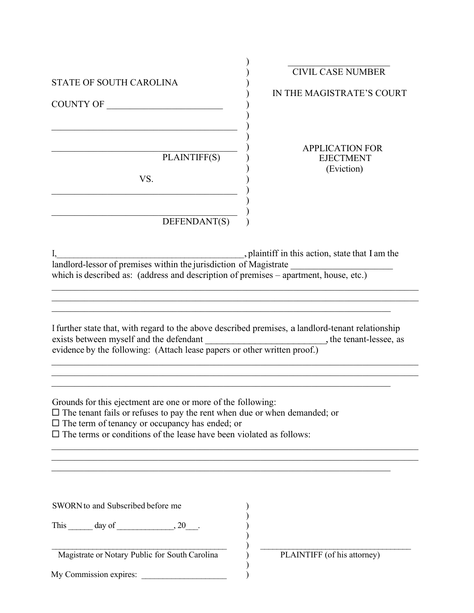| STATE OF SOUTH CAROLINA<br>COUNTY OF                                                                                                                                                                                                                                                       | <b>CIVIL CASE NUMBER</b><br>IN THE MAGISTRATE'S COURT    |
|--------------------------------------------------------------------------------------------------------------------------------------------------------------------------------------------------------------------------------------------------------------------------------------------|----------------------------------------------------------|
| PLAINTIFF(S)<br>VS.<br>DEFENDANT(S)                                                                                                                                                                                                                                                        | <b>APPLICATION FOR</b><br><b>EJECTMENT</b><br>(Eviction) |
| landlord-lessor of premises within the jurisdiction of Magistrate<br>which is described as: (address and description of premises – apartment, house, etc.)<br>I further state that, with regard to the above described premises, a landlord-tenant relationship                            | plaintiff in this action, state that I am the            |
| Grounds for this ejectment are one or more of the following:<br>$\Box$ The tenant fails or refuses to pay the rent when due or when demanded; or<br>$\Box$ The term of tenancy or occupancy has ended; or<br>$\square$ The terms or conditions of the lease have been violated as follows: |                                                          |
| SWORN to and Subscribed before me<br>This $\_\_\_\_$ day of $\_\_\_\_\_$ , 20 $\_\_\_\_\$ .<br>Magistrate or Notary Public for South Carolina<br>My Commission expires:                                                                                                                    | PLAINTIFF (of his attorney)                              |